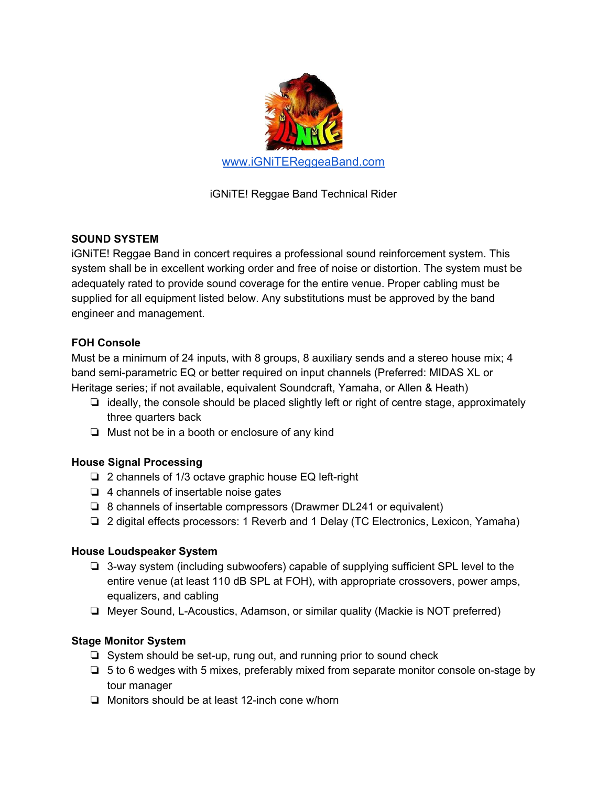

iGNiTE! Reggae Band Technical Rider

# **SOUND SYSTEM**

iGNiTE! Reggae Band in concert requires a professional sound reinforcement system. This system shall be in excellent working order and free of noise or distortion. The system must be adequately rated to provide sound coverage for the entire venue. Proper cabling must be supplied for all equipment listed below. Any substitutions must be approved by the band engineer and management.

## **FOH Console**

Must be a minimum of 24 inputs, with 8 groups, 8 auxiliary sends and a stereo house mix; 4 band semi-parametric EQ or better required on input channels (Preferred: MIDAS XL or Heritage series; if not available, equivalent Soundcraft, Yamaha, or Allen & Heath)

- ❏ ideally, the console should be placed slightly left or right of centre stage, approximately three quarters back
- ❏ Must not be in a booth or enclosure of any kind

## **House Signal Processing**

- ❏ 2 channels of 1/3 octave graphic house EQ left-right
- ❏ 4 channels of insertable noise gates
- ❏ 8 channels of insertable compressors (Drawmer DL241 or equivalent)
- ❏ 2 digital effects processors: 1 Reverb and 1 Delay (TC Electronics, Lexicon, Yamaha)

## **House Loudspeaker System**

- ❏ 3-way system (including subwoofers) capable of supplying sufficient SPL level to the entire venue (at least 110 dB SPL at FOH), with appropriate crossovers, power amps, equalizers, and cabling
- ❏ Meyer Sound, L-Acoustics, Adamson, or similar quality (Mackie is NOT preferred)

## **Stage Monitor System**

- ❏ System should be set-up, rung out, and running prior to sound check
- ❏ 5 to 6 wedges with 5 mixes, preferably mixed from separate monitor console on-stage by tour manager
- ❏ Monitors should be at least 12-inch cone w/horn